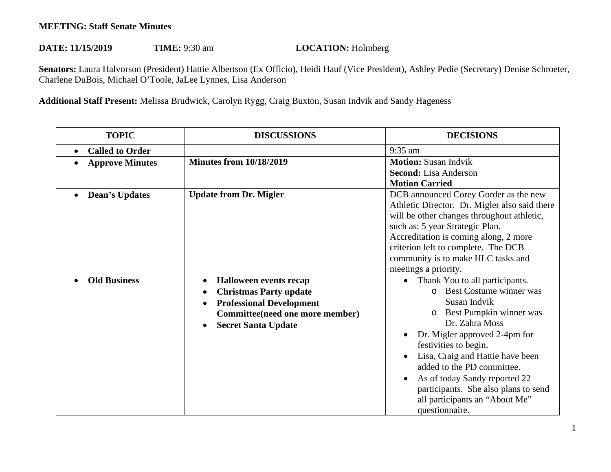## **MEETING: Staff Senate Minutes**

## DATE: 11/15/2019 **TIME:** 9:30 am **LOCATION:** Holmberg

 **Senators:** Laura Halvorson (President) Hattie Albertson (Ex Officio), Heidi Hauf (Vice President), Ashley Pedie (Secretary) Denise Schroeter, Charlene DuBois, Michael O'Toole, JaLee Lynnes, Lisa Anderson

**Additional Staff Present:** Melissa Brudwick, Carolyn Rygg, Craig Buxton, Susan Indvik and Sandy Hageness

| <b>TOPIC</b>           | <b>DISCUSSIONS</b>                                                                                                                                          | <b>DECISIONS</b>                                                                                                                                                                                                                                                                                                                                                                                         |
|------------------------|-------------------------------------------------------------------------------------------------------------------------------------------------------------|----------------------------------------------------------------------------------------------------------------------------------------------------------------------------------------------------------------------------------------------------------------------------------------------------------------------------------------------------------------------------------------------------------|
| <b>Called to Order</b> |                                                                                                                                                             | 9:35 am                                                                                                                                                                                                                                                                                                                                                                                                  |
| <b>Approve Minutes</b> | <b>Minutes from 10/18/2019</b>                                                                                                                              | <b>Motion: Susan Indvik</b><br><b>Second:</b> Lisa Anderson<br><b>Motion Carried</b>                                                                                                                                                                                                                                                                                                                     |
| <b>Dean's Updates</b>  | <b>Update from Dr. Migler</b>                                                                                                                               | DCB announced Corey Gorder as the new<br>Athletic Director. Dr. Migler also said there<br>will be other changes throughout athletic,<br>such as: 5 year Strategic Plan.<br>Accreditation is coming along, 2 more<br>criterion left to complete. The DCB<br>community is to make HLC tasks and<br>meetings a priority.                                                                                    |
| <b>Old Business</b>    | Halloween events recap<br><b>Christmas Party update</b><br><b>Professional Development</b><br>Committee(need one more member)<br><b>Secret Santa Update</b> | Thank You to all participants.<br>$\bullet$<br>Best Costume winner was<br>$\Omega$<br>Susan Indvik<br>Best Pumpkin winner was<br>Dr. Zahra Moss<br>Dr. Migler approved 2-4pm for<br>festivities to begin.<br>Lisa, Craig and Hattie have been<br>added to the PD committee.<br>As of today Sandy reported 22<br>participants. She also plans to send<br>all participants an "About Me"<br>questionnaire. |